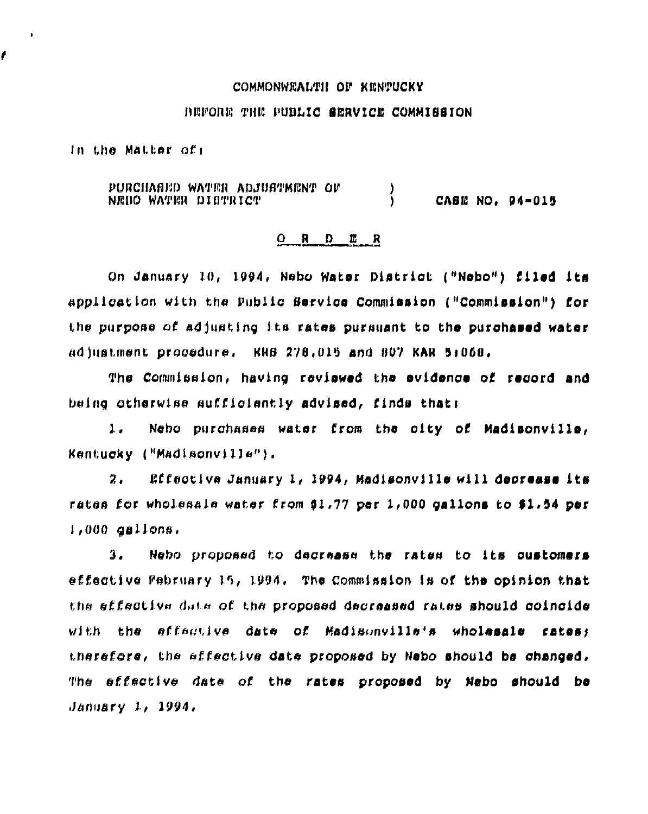#### COMMONWEALTH OF KENTUCKY

## BEFORE THE PUBLIC SERVICE COMMISSION

In the Matter of:

 $\bullet$ 

PURCHANED WATER ADJUSTMENT OF j. CASE NO. 04-015 NEDO WATER DISTRICT j.

### O R D E R

On January 10, 1994, Nebo Water District ("Nebo") filed its application with the Public Service Commission ("Commission") for the purpose of adjusting its rates pursuant to the purchased water adjustment procedure. KRB 278,015 and 807 KAR 5:068.

The Commission, having reviewed the evidence of record and being otherwise sufficiently advised, finds that:

 $\mathbf{1}$ . Neho purchases water from the city of Madisonville, Kentucky ("Madisonville"),

Effective January 1, 1994, Madisonville will decrease its  $2.$ rates for wholesale water from \$1.77 per 1,000 gallons to \$1.54 per  $1,000$  asliens.

Nebo proposed to decrease the rates to its customers 3. effective Pebruary 15, 1994. The Commission is of the opinion that the effective date of the proposed decreased rates should coincide with the effective date of Madisonville's wholesale rates: therefore, the effective date proposed by Nebo should be changed, The effective date of the rates proposed by Nebo should be  $January 1, 1994.$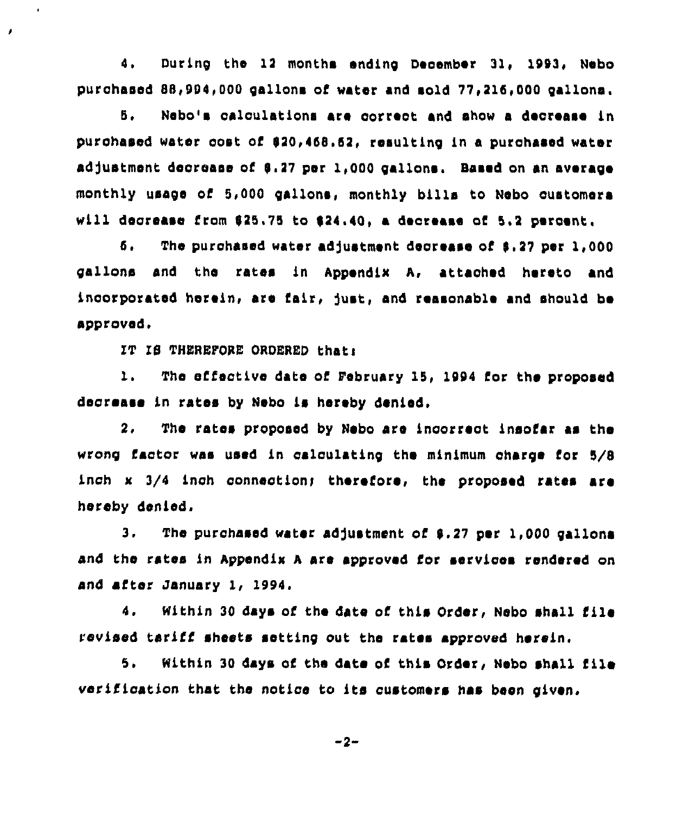4. During the 12 months ending December 31, 1993, Nebo purchased 88,994,000 gallons of water and sold 77,216,000 gallons.

Nebo's calculations are correct and show a decrease in 5. purchased water cost of \$20,468.62, resulting in a purchased water adjustment decrease of \$.27 per 1,000 gallons. Based on an average monthly usage of 5,000 gallons, monthly bills to Nebo customers will degrease from \$25.75 to \$24,40, a degrease of 5.2 percent.

б. The purchased water adjustment decrease of \$.27 per 1,000 gallons and the rates in Appendix A, attached hereto and incorporated herein, are fair, just, and reasonable and should be approved.

IT IS THEREFORE ORDERED that:

 $\hat{\mathbf{r}}$ 

 $\lambda$ 

 $\mathbf{L}$ . The effective date of February 15, 1994 for the proposed decrease in rates by Nebo is hereby denied.

 $2.$ The rates proposed by Nebo are incorrect insofar as the wrong factor was used in calculating the minimum charge for 5/8 inch x 3/4 inch connection; therefore, the proposed rates are hereby denied.

 $3.$ The purchased water adjustment of \$.27 per 1.000 gallona and the rates in Appendix A are approved for services rendered on and after January 1, 1994.

4. Within 30 days of the date of this Order, Nebo shall file revised tariff sheets setting out the rates approved herein.

5. Within 30 days of the date of this Order, Nebo shall file verification that the notice to its customers has been given.

 $-2-$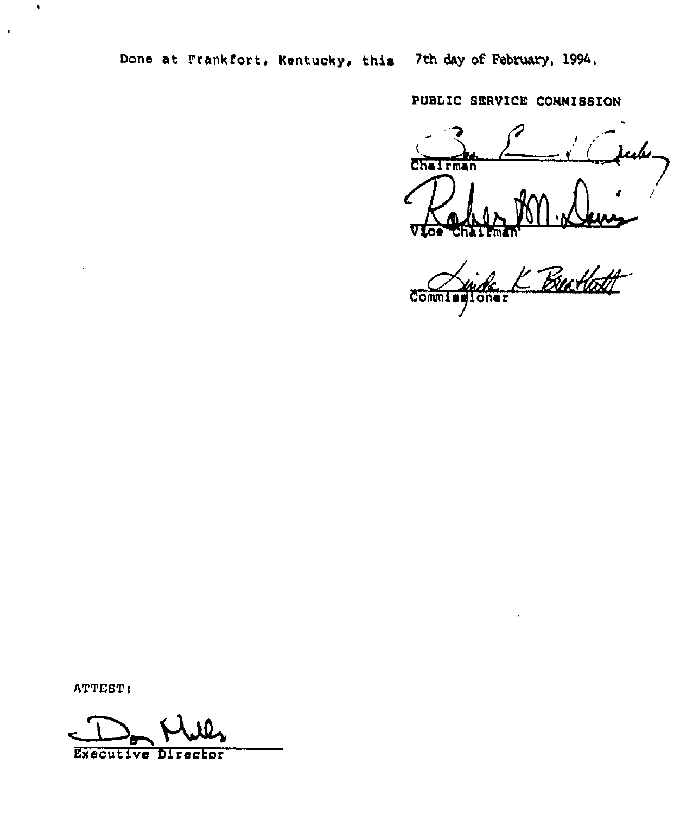PUBLIC SERVICE CONNISSION

ulv Chairman

Butlett Comm oner

ATTEST:

 $\ddot{\phantom{a}}$ 

 $\hat{\mathbf{r}}$ 

Executive Director